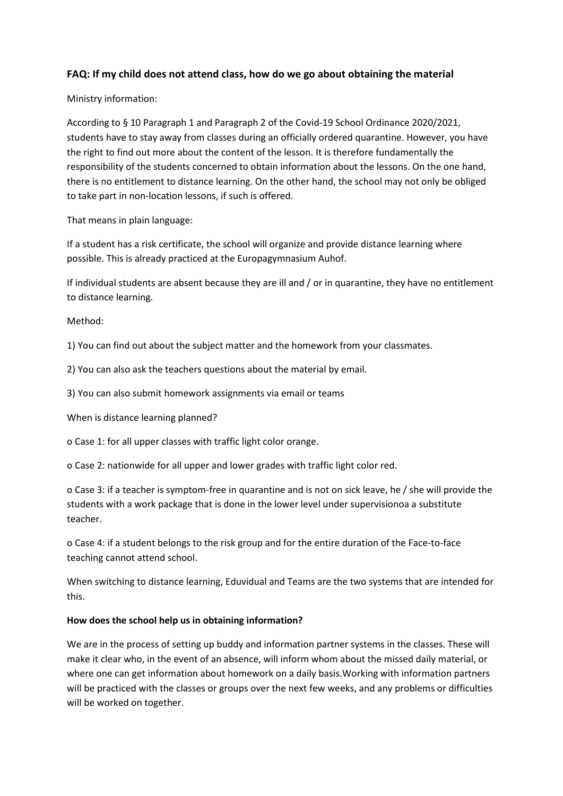# **FAQ: If my child does not attend class, how do we go about obtaining the material**

Ministry information:

According to § 10 Paragraph 1 and Paragraph 2 of the Covid-19 School Ordinance 2020/2021, students have to stay away from classes during an officially ordered quarantine. However, you have the right to find out more about the content of the lesson. It is therefore fundamentally the responsibility of the students concerned to obtain information about the lessons. On the one hand, there is no entitlement to distance learning. On the other hand, the school may not only be obliged to take part in non-location lessons, if such is offered.

That means in plain language:

If a student has a risk certificate, the school will organize and provide distance learning where possible. This is already practiced at the Europagymnasium Auhof.

If individual students are absent because they are ill and / or in quarantine, they have no entitlement to distance learning.

Method:

1) You can find out about the subject matter and the homework from your classmates.

2) You can also ask the teachers questions about the material by email.

3) You can also submit homework assignments via email or teams

When is distance learning planned?

o Case 1: for all upper classes with traffic light color orange.

o Case 2: nationwide for all upper and lower grades with traffic light color red.

o Case 3: if a teacher is symptom-free in quarantine and is not on sick leave, he / she will provide the students with a work package that is done in the lower level under supervisionoa a substitute teacher.

o Case 4: if a student belongs to the risk group and for the entire duration of the Face-to-face teaching cannot attend school.

When switching to distance learning, Eduvidual and Teams are the two systems that are intended for this.

## **How does the school help us in obtaining information?**

We are in the process of setting up buddy and information partner systems in the classes. These will make it clear who, in the event of an absence, will inform whom about the missed daily material, or where one can get information about homework on a daily basis.Working with information partners will be practiced with the classes or groups over the next few weeks, and any problems or difficulties will be worked on together.